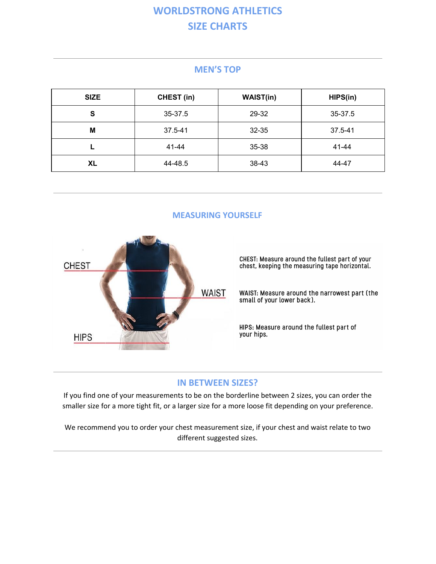# **WORLDSTRONG ATHLETICS SIZE CHARTS**

## **MEN'S TOP**

| <b>SIZE</b> | CHEST (in) | <b>WAIST(in)</b> | HIPS(in) |  |
|-------------|------------|------------------|----------|--|
| S           | 35-37.5    | 29-32            | 35-37.5  |  |
| M           | 37.5-41    | 32-35            | 37.5-41  |  |
|             | 41-44      | 35-38            | 41-44    |  |
| <b>XL</b>   | 44-48.5    | 38-43            | 44-47    |  |

### **MEASURING YOURSELF**



CHEST: Measure around the fullest part of your<br>chest, keeping the measuring tape horizontal.

WAIST: Measure around the narrowest part (the small of your lower back).

HIPS: Measure around the fullest part of your hips.

# **IN BETWEEN SIZES?**

If you find one of your measurements to be on the borderline between 2 sizes, you can order the smaller size for a more tight fit, or a larger size for a more loose fit depending on your preference.

We recommend you to order your chest measurement size, if your chest and waist relate to two different suggested sizes.